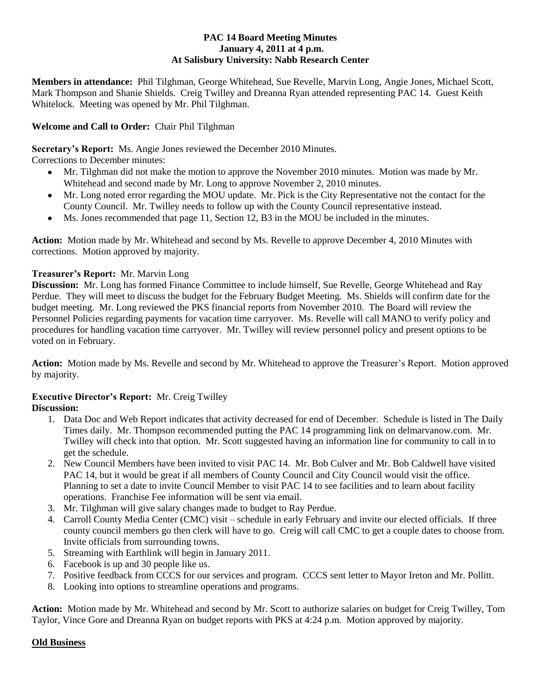#### **PAC 14 Board Meeting Minutes January 4, 2011 at 4 p.m. At Salisbury University: Nabb Research Center**

**Members in attendance:** Phil Tilghman, George Whitehead, Sue Revelle, Marvin Long, Angie Jones, Michael Scott, Mark Thompson and Shanie Shields. Creig Twilley and Dreanna Ryan attended representing PAC 14. Guest Keith Whitelock. Meeting was opened by Mr. Phil Tilghman.

## **Welcome and Call to Order:** Chair Phil Tilghman

**Secretary's Report:** Ms. Angie Jones reviewed the December 2010 Minutes.

Corrections to December minutes:

- Mr. Tilghman did not make the motion to approve the November 2010 minutes. Motion was made by Mr.  $\bullet$ Whitehead and second made by Mr. Long to approve November 2, 2010 minutes.
- Mr. Long noted error regarding the MOU update. Mr. Pick is the City Representative not the contact for the County Council. Mr. Twilley needs to follow up with the County Council representative instead.
- Ms. Jones recommended that page 11, Section 12, B3 in the MOU be included in the minutes.  $\bullet$

**Action:** Motion made by Mr. Whitehead and second by Ms. Revelle to approve December 4, 2010 Minutes with corrections. Motion approved by majority.

### **Treasurer's Report:** Mr. Marvin Long

**Discussion:** Mr. Long has formed Finance Committee to include himself, Sue Revelle, George Whitehead and Ray Perdue. They will meet to discuss the budget for the February Budget Meeting. Ms. Shields will confirm date for the budget meeting. Mr. Long reviewed the PKS financial reports from November 2010. The Board will review the Personnel Policies regarding payments for vacation time carryover. Ms. Revelle will call MANO to verify policy and procedures for handling vacation time carryover. Mr. Twilley will review personnel policy and present options to be voted on in February.

**Action:** Motion made by Ms. Revelle and second by Mr. Whitehead to approve the Treasurer's Report. Motion approved by majority.

# **Executive Director's Report:** Mr. Creig Twilley

# **Discussion:**

- 1. Data Doc and Web Report indicates that activity decreased for end of December. Schedule is listed in The Daily Times daily. Mr. Thompson recommended putting the PAC 14 programming link on delmarvanow.com. Mr. Twilley will check into that option. Mr. Scott suggested having an information line for community to call in to get the schedule.
- 2. New Council Members have been invited to visit PAC 14. Mr. Bob Culver and Mr. Bob Caldwell have visited PAC 14, but it would be great if all members of County Council and City Council would visit the office. Planning to set a date to invite Council Member to visit PAC 14 to see facilities and to learn about facility operations. Franchise Fee information will be sent via email.
- 3. Mr. Tilghman will give salary changes made to budget to Ray Perdue.
- 4. Carroll County Media Center (CMC) visit schedule in early February and invite our elected officials. If three county council members go then clerk will have to go. Creig will call CMC to get a couple dates to choose from. Invite officials from surrounding towns.
- 5. Streaming with Earthlink will begin in January 2011.
- 6. Facebook is up and 30 people like us.
- 7. Positive feedback from CCCS for our services and program. CCCS sent letter to Mayor Ireton and Mr. Pollitt.
- 8. Looking into options to streamline operations and programs.

**Action:** Motion made by Mr. Whitehead and second by Mr. Scott to authorize salaries on budget for Creig Twilley, Tom Taylor, Vince Gore and Dreanna Ryan on budget reports with PKS at 4:24 p.m. Motion approved by majority.

### **Old Business**